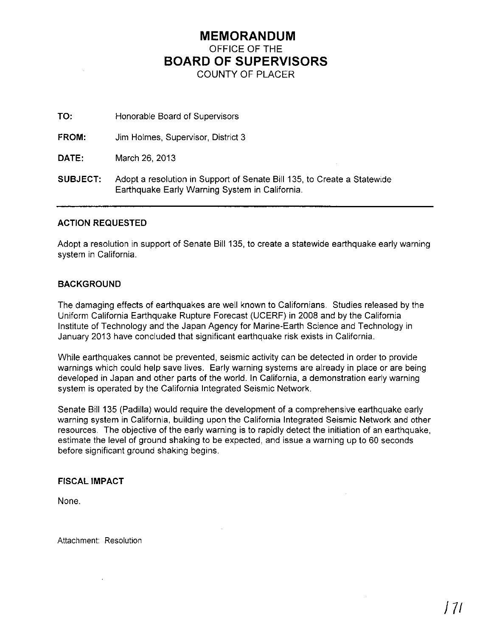## **MEMORANDUM** OFFICE OF THE **BOARD OF SUPERVISORS** COUNTY OF PLACER

**TO:** Honorable Board of Supervisors

**FROM:** Jim Holmes, Supervisor, District 3

**DATE:** March 26, 2013

**SUBJECT:** Adopt a resolution in Support of Senate Bill 135, to Create a Statewide Earthquake Early Warning System in California.

#### **ACTION REQUESTED**

Adopt a resolution in support of Senate Bill 135, to create a statewide earthquake early warning system in California.

#### **BACKGROUND**

The damaging effects of earthquakes are well known to Californians. Studies released by the Uniform California Earthquake Rupture Forecast (UCERF) in 2008 and by the California Institute of Technology and the Japan Agency for Marine-Earth Science and Technology in January 2013 have concluded that significant earthquake risk exists in California.

While earthquakes cannot be prevented, seismic activity can be detected in order to provide warnings which could help save lives. Early warning systems are already in place or are being developed in Japan and other parts of the world. In California, a demonstration early warning system is operated by the California Integrated Seismic Network.

Senate Bill 135 (Padilla) would require the development of a comprehensive earthquake early warning system in California, building upon the California Integrated Seismic Network and other resources. The objective of the early warning is to rapidly detect the initiation of an earthquake, estimate the level of ground shaking to be expected, and issue a warning up to 60 seconds before significant ground shaking begins.

### **FISCAL IMPACT**

None.

Attachment: Resolution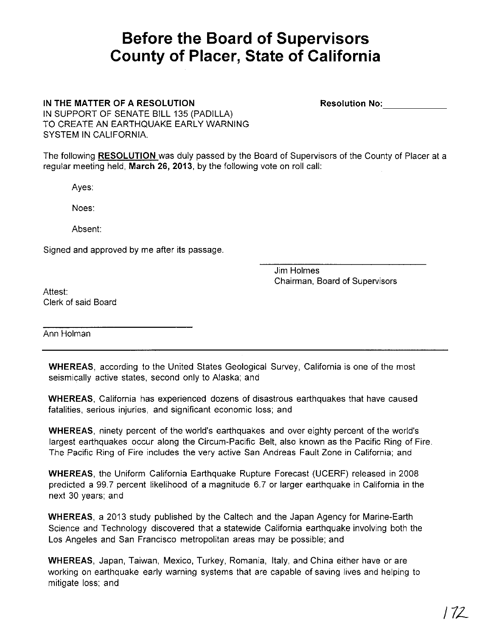# **Before the Board of Supervisors County of Placer, State of California**

IN THE MATTER OF A RESOLUTION

Resolution No:------

IN SUPPORT OF SENATE BILL 135 (PADILLA) TO CREATE AN EARTHQUAKE EARLY WARNING SYSTEM IN CALIFORNIA.

The following RESOLUTION was duly passed by the Board of Supervisors of the County of Placer at a regular meeting held, March 26, 2013, by the following vote on roll call:

Ayes:

Noes:

Absent:

Signed and approved by me after its passage.

Jim Holmes Chairman, Board of Supervisors

Attest: Clerk of said Board

Ann Holman

WHEREAS, according to the United States Geological Survey, California is one of the most seismically active states, second only to Alaska; and

WHEREAS, California has experienced dozens of disastrous earthquakes that have caused fatalities, serious injuries, and significant economic loss; and

WHEREAS, ninety percent of the world's earthquakes and over eighty percent of the world's largest earthquakes occur along the Circum-Pacific Belt, also known as the Pacific Ring of Fire The Pacific Ring of Fire includes the very active San Andreas Fault Zone in California: and

WHEREAS, the Uniform California Earthquake Rupture Forecast (UCERF) released in 2008 predicted a 99.7 percent likelihood of a magnitude 6.7 or larger earthquake in California in the next 30 years; and

WHEREAS, a 2013 study published by the Caltech and the Japan Agency for Marine-Earth Science and Technology discovered that a statewide California earthquake involving both the Los Angeles and San Francisco metropolitan areas may be possible; and

WHEREAS, Japan, Taiwan, Mexico, Turkey, Romania, Italy, and China either have or are working on earthquake early warning systems that are capable of saving lives and helping to mitigate loss; and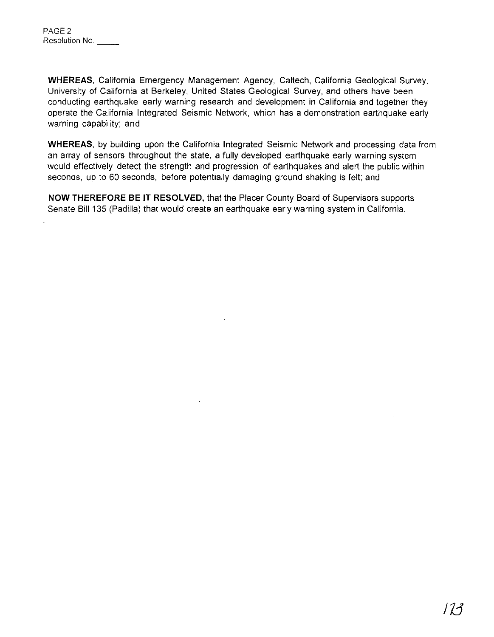**WHEREAS,** California Emergency Management Agency, Caltech, California Geological Survey, University of California at Berkeley, United States Geological Survey, and others have been conducting earthquake early warning research and development in California and together they operate the California Integrated Seismic Network, which has a demonstration earthquake early warning capability; and

**WHEREAS,** by building upon the California Integrated Seismic Network and processing data from an array of sensors throughout the state, a fully developed earthquake early warning system would effectively detect the strength and progression of earthquakes and alert the public within seconds, up to 60 seconds, before potentially damaging ground shaking is felt; and

**NOW THEREFORE BE IT RESOLVED,** that the Placer County Board of Supervisors supports Senate Bill 135 (Padilla) that would create an earthquake early warning system in California.